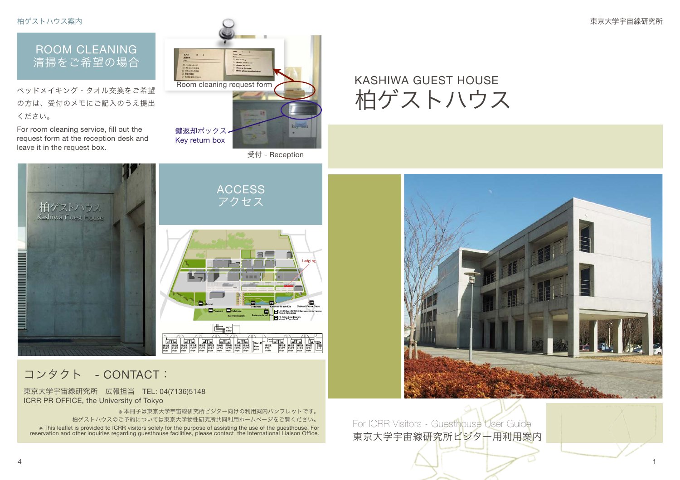柏ゲストハウス案内 東京大学宇宙線研究所



## コンタクト - CONTACT:

東京大学宇宙線研究所 広報担当 TEL: 04(7136)5148 ICRR PR OFFICE, the University of Tokyo

※ 本冊子は東京大学宇宙線研究所ビジター向けの利用案内パンフレットです。 柏ゲストハウスのご予約については東京大学物性研究所共同利用ホームページをご覧ください。 This leaflet is provided to ICRR visitors solely for the purpose of assisting the use of the guesthouse. For weservation and other inquiries regarding guesthouse facilities, please contact the International Liaison Office.

For ICRR Visitors - Guesthouse User Guide 東京大学宇宙線研究所ビジター用利用案内

KASHIWA GUEST HOUSE

柏ゲストハウス